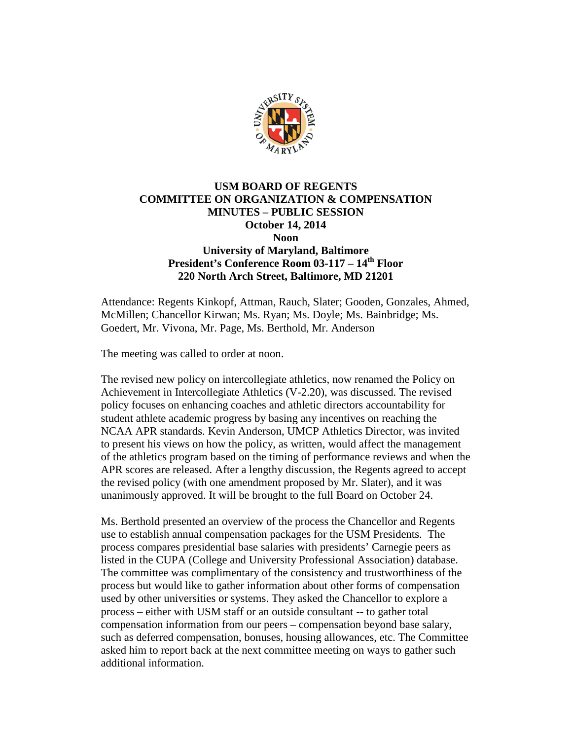

## **USM BOARD OF REGENTS COMMITTEE ON ORGANIZATION & COMPENSATION MINUTES – PUBLIC SESSION October 14, 2014 Noon University of Maryland, Baltimore**

**President's Conference Room 03-117 – 14th Floor 220 North Arch Street, Baltimore, MD 21201**

Attendance: Regents Kinkopf, Attman, Rauch, Slater; Gooden, Gonzales, Ahmed, McMillen; Chancellor Kirwan; Ms. Ryan; Ms. Doyle; Ms. Bainbridge; Ms. Goedert, Mr. Vivona, Mr. Page, Ms. Berthold, Mr. Anderson

The meeting was called to order at noon.

The revised new policy on intercollegiate athletics, now renamed the Policy on Achievement in Intercollegiate Athletics (V-2.20), was discussed. The revised policy focuses on enhancing coaches and athletic directors accountability for student athlete academic progress by basing any incentives on reaching the NCAA APR standards. Kevin Anderson, UMCP Athletics Director, was invited to present his views on how the policy, as written, would affect the management of the athletics program based on the timing of performance reviews and when the APR scores are released. After a lengthy discussion, the Regents agreed to accept the revised policy (with one amendment proposed by Mr. Slater), and it was unanimously approved. It will be brought to the full Board on October 24.

Ms. Berthold presented an overview of the process the Chancellor and Regents use to establish annual compensation packages for the USM Presidents. The process compares presidential base salaries with presidents' Carnegie peers as listed in the CUPA (College and University Professional Association) database. The committee was complimentary of the consistency and trustworthiness of the process but would like to gather information about other forms of compensation used by other universities or systems. They asked the Chancellor to explore a process – either with USM staff or an outside consultant -- to gather total compensation information from our peers – compensation beyond base salary, such as deferred compensation, bonuses, housing allowances, etc. The Committee asked him to report back at the next committee meeting on ways to gather such additional information.